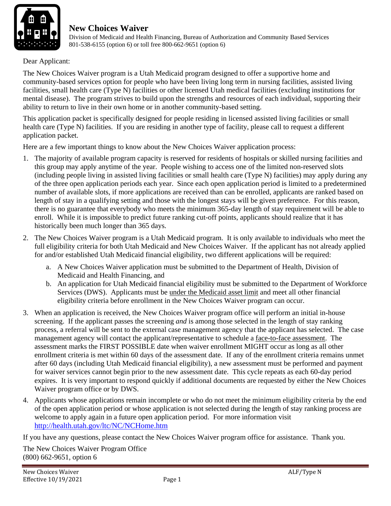

 Division of Medicaid and Health Financing, Bureau of Authorization and Community Based Services 801-538-6155 (option 6) or toll free 800-662-9651 (option 6)

Dear Applicant:

The New Choices Waiver program is a Utah Medicaid program designed to offer a supportive home and community-based services option for people who have been living long term in nursing facilities, assisted living facilities, small health care (Type N) facilities or other licensed Utah medical facilities (excluding institutions for mental disease). The program strives to build upon the strengths and resources of each individual, supporting their ability to return to live in their own home or in another community-based setting.

This application packet is specifically designed for people residing in licensed assisted living facilities or small health care (Type N) facilities. If you are residing in another type of facility, please call to request a different application packet.

Here are a few important things to know about the New Choices Waiver application process:

- 1. The majority of available program capacity is reserved for residents of hospitals or skilled nursing facilities and this group may apply anytime of the year. People wishing to access one of the limited non-reserved slots (including people living in assisted living facilities or small health care (Type N) facilities) may apply during any of the three open application periods each year. Since each open application period is limited to a predetermined number of available slots, if more applications are received than can be enrolled, applicants are ranked based on length of stay in a qualifying setting and those with the longest stays will be given preference. For this reason, there is no guarantee that everybody who meets the minimum 365-day length of stay requirement will be able to enroll. While it is impossible to predict future ranking cut-off points, applicants should realize that it has historically been much longer than 365 days.
- 2. The New Choices Waiver program is a Utah Medicaid program. It is only available to individuals who meet the full eligibility criteria for both Utah Medicaid and New Choices Waiver. If the applicant has not already applied for and/or established Utah Medicaid financial eligibility, two different applications will be required:
	- a. A New Choices Waiver application must be submitted to the Department of Health, Division of Medicaid and Health Financing, and
	- b. An application for Utah Medicaid financial eligibility must be submitted to the Department of Workforce Services (DWS). Applicants must be under the Medicaid asset limit and meet all other financial eligibility criteria before enrollment in the New Choices Waiver program can occur.
- 3. When an application is received, the New Choices Waiver program office will perform an initial in-house screening. If the applicant passes the screening *and* is among those selected in the length of stay ranking process, a referral will be sent to the external case management agency that the applicant has selected. The case management agency will contact the applicant/representative to schedule a face-to-face assessment. The assessment marks the FIRST POSSIBLE date when waiver enrollment MIGHT occur as long as all other enrollment criteria is met within 60 days of the assessment date. If any of the enrollment criteria remains unmet after 60 days (including Utah Medicaid financial eligibility), a new assessment must be performed and payment for waiver services cannot begin prior to the new assessment date. This cycle repeats as each 60-day period expires. It is very important to respond quickly if additional documents are requested by either the New Choices Waiver program office or by DWS.
- 4. Applicants whose applications remain incomplete or who do not meet the minimum eligibility criteria by the end of the open application period or whose application is not selected during the length of stay ranking process are welcome to apply again in a future open application period. For more information visit http://health.utah.gov/ltc/NC/NCHome.htm

If you have any questions, please contact the New Choices Waiver program office for assistance. Thank you.

The New Choices Waiver Program Office (800) 662-9651, option 6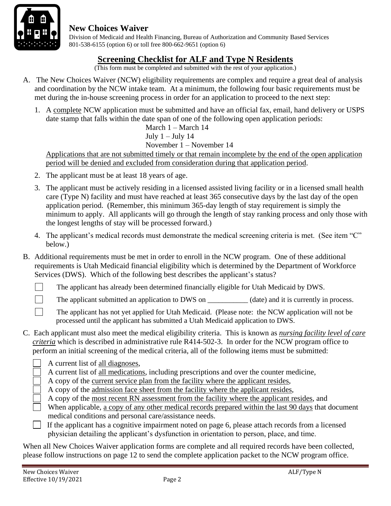

 Division of Medicaid and Health Financing, Bureau of Authorization and Community Based Services 801-538-6155 (option 6) or toll free 800-662-9651 (option 6)

### **Screening Checklist for ALF and Type N Residents**

(This form must be completed and submitted with the rest of your application.)

- A. The New Choices Waiver (NCW) eligibility requirements are complex and require a great deal of analysis and coordination by the NCW intake team. At a minimum, the following four basic requirements must be met during the in-house screening process in order for an application to proceed to the next step:
	- 1. A complete NCW application must be submitted and have an official fax, email, hand delivery or USPS date stamp that falls within the date span of one of the following open application periods:

March 1 – March 14 July  $1 -$  July 14 November 1 – November 14

Applications that are not submitted timely or that remain incomplete by the end of the open application period will be denied and excluded from consideration during that application period.

- 2. The applicant must be at least 18 years of age.
- 3. The applicant must be actively residing in a licensed assisted living facility or in a licensed small health care (Type N) facility and must have reached at least 365 consecutive days by the last day of the open application period. (Remember, this minimum 365-day length of stay requirement is simply the minimum to apply. All applicants will go through the length of stay ranking process and only those with the longest lengths of stay will be processed forward.)
- 4. The applicant's medical records must demonstrate the medical screening criteria is met. (See item "C" below.)
- B. Additional requirements must be met in order to enroll in the NCW program. One of these additional requirements is Utah Medicaid financial eligibility which is determined by the Department of Workforce Services (DWS). Which of the following best describes the applicant's status?
	- The applicant has already been determined financially eligible for Utah Medicaid by DWS.

The applicant submitted an application to DWS on (date) and it is currently in process.

The applicant has not yet applied for Utah Medicaid. (Please note: the NCW application will not be processed until the applicant has submitted a Utah Medicaid application to DWS.

- C. Each applicant must also meet the medical eligibility criteria. This is known as *nursing facility level of care criteria* which is described in administrative rule R414-502-3. In order for the NCW program office to perform an initial screening of the medical criteria, all of the following items must be submitted:
	- A current list of all diagnoses,
	- A current list of all medications, including prescriptions and over the counter medicine,

A copy of the current service plan from the facility where the applicant resides,

- A copy of the admission face sheet from the facility where the applicant resides,
- A copy of the most recent RN assessment from the facility where the applicant resides, and
- When applicable, a copy of any other medical records prepared within the last 90 days that document medical conditions and personal care/assistance needs.
- If the applicant has a cognitive impairment noted on page 6, please attach records from a licensed physician detailing the applicant's dysfunction in orientation to person, place, and time.

When all New Choices Waiver application forms are complete and all required records have been collected, please follow instructions on page 12 to send the complete application packet to the NCW program office.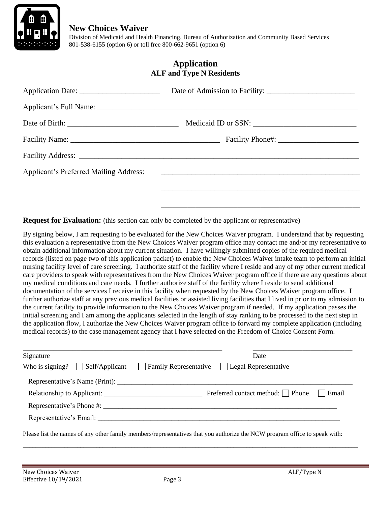

 Division of Medicaid and Health Financing, Bureau of Authorization and Community Based Services 801-538-6155 (option 6) or toll free 800-662-9651 (option 6)

#### **Application ALF and Type N Residents**

| Applicant's Preferred Mailing Address: 2008. 2009. [2016] Applicant's Preferred Mailing Address: |
|--------------------------------------------------------------------------------------------------|
|                                                                                                  |
|                                                                                                  |

**Request for Evaluation:** (this section can only be completed by the applicant or representative)

By signing below, I am requesting to be evaluated for the New Choices Waiver program. I understand that by requesting this evaluation a representative from the New Choices Waiver program office may contact me and/or my representative to obtain additional information about my current situation. I have willingly submitted copies of the required medical records (listed on page two of this application packet) to enable the New Choices Waiver intake team to perform an initial nursing facility level of care screening. I authorize staff of the facility where I reside and any of my other current medical care providers to speak with representatives from the New Choices Waiver program office if there are any questions about my medical conditions and care needs. I further authorize staff of the facility where I reside to send additional documentation of the services I receive in this facility when requested by the New Choices Waiver program office. I further authorize staff at any previous medical facilities or assisted living facilities that I lived in prior to my admission to the current facility to provide information to the New Choices Waiver program if needed. If my application passes the initial screening and I am among the applicants selected in the length of stay ranking to be processed to the next step in the application flow, I authorize the New Choices Waiver program office to forward my complete application (including medical records) to the case management agency that I have selected on the Freedom of Choice Consent Form.

| Signature                             | Date                                                                                                                       |
|---------------------------------------|----------------------------------------------------------------------------------------------------------------------------|
| Who is signing? $\Box$ Self/Applicant | $\Box$ Family Representative $\Box$ Legal Representative                                                                   |
|                                       |                                                                                                                            |
|                                       | Preferred contact method:     Phone<br>  Email                                                                             |
|                                       |                                                                                                                            |
|                                       |                                                                                                                            |
|                                       | Please list the names of any other family members/representatives that you authorize the NCW program office to speak with: |

\_\_\_\_\_\_\_\_\_\_\_\_\_\_\_\_\_\_\_\_\_\_\_\_\_\_\_\_\_\_\_\_\_\_\_\_\_\_\_\_\_\_\_\_\_\_\_\_\_\_\_\_\_\_\_\_\_\_\_\_\_\_\_\_\_\_\_\_\_\_\_\_\_\_\_\_\_\_\_\_\_\_\_\_\_\_\_\_\_\_\_\_\_\_\_\_\_\_\_\_\_\_\_\_\_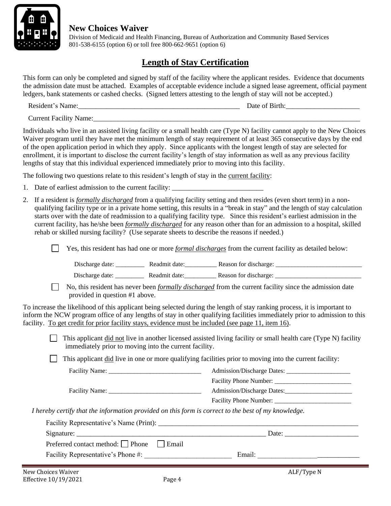

 Division of Medicaid and Health Financing, Bureau of Authorization and Community Based Services 801-538-6155 (option 6) or toll free 800-662-9651 (option 6)

# **Length of Stay Certification**

This form can only be completed and signed by staff of the facility where the applicant resides. Evidence that documents the admission date must be attached. Examples of acceptable evidence include a signed lease agreement, official payment ledgers, bank statements or cashed checks. (Signed letters attesting to the length of stay will not be accepted.)

Resident's Name:\_\_\_\_\_\_\_\_\_\_\_\_\_\_\_\_\_\_\_\_\_\_\_\_\_\_\_\_\_\_\_\_\_\_\_\_\_\_\_\_\_\_\_\_\_\_ Date of Birth:\_\_\_\_\_\_\_\_\_\_\_\_\_\_\_\_\_\_\_\_\_

Current Facility Name:

Individuals who live in an assisted living facility or a small health care (Type N) facility cannot apply to the New Choices Waiver program until they have met the minimum length of stay requirement of at least 365 consecutive days by the end of the open application period in which they apply. Since applicants with the longest length of stay are selected for enrollment, it is important to disclose the current facility's length of stay information as well as any previous facility lengths of stay that this individual experienced immediately prior to moving into this facility.

The following two questions relate to this resident's length of stay in the current facility:

- 1. Date of earliest admission to the current facility:
- 2. If a resident is *formally discharged* from a qualifying facility setting and then resides (even short term) in a nonqualifying facility type or in a private home setting, this results in a "break in stay" and the length of stay calculation starts over with the date of readmission to a qualifying facility type. Since this resident's earliest admission in the current facility, has he/she been *formally discharged* for any reason other than for an admission to a hospital, skilled rehab or skilled nursing facility? (Use separate sheets to describe the reasons if needed.)

| $\Box$ Yes, this resident has had one or more <i>formal discharges</i> from the current facility as detailed below: |
|---------------------------------------------------------------------------------------------------------------------|
|                                                                                                                     |

| Discharge date: | Readmit date: | Reason for discharge: |
|-----------------|---------------|-----------------------|
|                 |               |                       |

Discharge date: <br>
Readmit date: <br>
Reason for discharge:

 No, this resident has never been *formally discharged* from the current facility since the admission date provided in question #1 above.

To increase the likelihood of this applicant being selected during the length of stay ranking process, it is important to inform the NCW program office of any lengths of stay in other qualifying facilities immediately prior to admission to this facility. To get credit for prior facility stays, evidence must be included (see page 11, item 16).

 $\Box$  This applicant did not live in another licensed assisted living facility or small health care (Type N) facility immediately prior to moving into the current facility.

 $\Box$  This applicant did live in one or more qualifying facilities prior to moving into the current facility:

|                                                                                                     | Facility Phone Number: |
|-----------------------------------------------------------------------------------------------------|------------------------|
| I hereby certify that the information provided on this form is correct to the best of my knowledge. |                        |
| Facility Representative's Name (Print):                                                             |                        |

| Signature:                                          | Date:  |
|-----------------------------------------------------|--------|
| Preferred contact method: $\Box$ Phone<br>$ $ Email |        |
| Facility Representative's Phone #:                  | Email: |
|                                                     |        |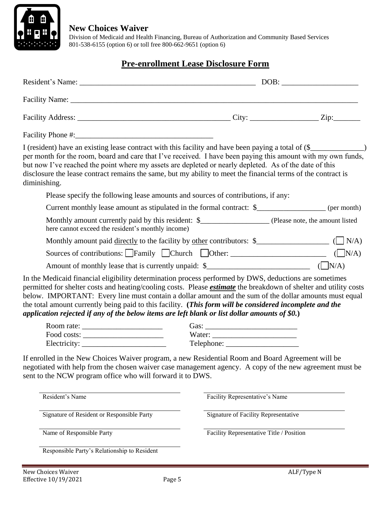

 Division of Medicaid and Health Financing, Bureau of Authorization and Community Based Services 801-538-6155 (option 6) or toll free 800-662-9651 (option 6)

#### **Pre-enrollment Lease Disclosure Form**

| I (resident) have an existing lease contract with this facility and have been paying a total of (\$___________<br>per month for the room, board and care that I've received. I have been paying this amount with my own funds,<br>but now I've reached the point where my assets are depleted or nearly depleted. As of the date of this<br>disclosure the lease contract remains the same, but my ability to meet the financial terms of the contract is<br>diminishing.                                                                                 |                                          |            |
|-----------------------------------------------------------------------------------------------------------------------------------------------------------------------------------------------------------------------------------------------------------------------------------------------------------------------------------------------------------------------------------------------------------------------------------------------------------------------------------------------------------------------------------------------------------|------------------------------------------|------------|
| Please specify the following lease amounts and sources of contributions, if any:                                                                                                                                                                                                                                                                                                                                                                                                                                                                          |                                          |            |
| Current monthly lease amount as stipulated in the formal contract: \$__________________ (per month)                                                                                                                                                                                                                                                                                                                                                                                                                                                       |                                          |            |
| here cannot exceed the resident's monthly income)                                                                                                                                                                                                                                                                                                                                                                                                                                                                                                         |                                          |            |
|                                                                                                                                                                                                                                                                                                                                                                                                                                                                                                                                                           |                                          |            |
| Sources of contributions: $\Box$ Family $\Box$ Church $\Box$ Other: $\Box$ ( $\Box$ N/A)                                                                                                                                                                                                                                                                                                                                                                                                                                                                  |                                          |            |
|                                                                                                                                                                                                                                                                                                                                                                                                                                                                                                                                                           |                                          |            |
| In the Medicaid financial eligibility determination process performed by DWS, deductions are sometimes<br>permitted for shelter costs and heating/cooling costs. Please <i>estimate</i> the breakdown of shelter and utility costs<br>below. IMPORTANT: Every line must contain a dollar amount and the sum of the dollar amounts must equal<br>the total amount currently being paid to this facility. (This form will be considered incomplete and the<br>application rejected if any of the below items are left blank or list dollar amounts of \$0.) |                                          |            |
|                                                                                                                                                                                                                                                                                                                                                                                                                                                                                                                                                           |                                          |            |
|                                                                                                                                                                                                                                                                                                                                                                                                                                                                                                                                                           |                                          |            |
| Electricity:<br>If enrolled in the New Choices Waiver program, a new Residential Room and Board Agreement will be<br>negotiated with help from the chosen waiver case management agency. A copy of the new agreement must be<br>sent to the NCW program office who will forward it to DWS.                                                                                                                                                                                                                                                                |                                          |            |
| Resident's Name                                                                                                                                                                                                                                                                                                                                                                                                                                                                                                                                           | Facility Representative's Name           |            |
| Signature of Resident or Responsible Party                                                                                                                                                                                                                                                                                                                                                                                                                                                                                                                | Signature of Facility Representative     |            |
| Name of Responsible Party                                                                                                                                                                                                                                                                                                                                                                                                                                                                                                                                 | Facility Representative Title / Position |            |
| Responsible Party's Relationship to Resident                                                                                                                                                                                                                                                                                                                                                                                                                                                                                                              |                                          |            |
| New Choices Waiver<br>Page 5<br>Effective 10/19/2021                                                                                                                                                                                                                                                                                                                                                                                                                                                                                                      |                                          | ALF/Type N |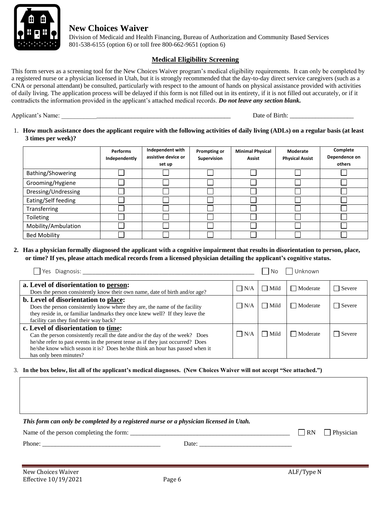

 Division of Medicaid and Health Financing, Bureau of Authorization and Community Based Services 801-538-6155 (option 6) or toll free 800-662-9651 (option 6)

#### **Medical Eligibility Screening**

This form serves as a screening tool for the New Choices Waiver program's medical eligibility requirements. It can only be completed by a registered nurse or a physician licensed in Utah, but it is strongly recommended that the day-to-day direct service caregivers (such as a CNA or personal attendant) be consulted, particularly with respect to the amount of hands on physical assistance provided with activities of daily living. The application process will be delayed if this form is not filled out in its entirety, if it is not filled out accurately, or if it contradicts the information provided in the applicant's attached medical records. *Do not leave any section blank.*

Applicant's Name: \_\_\_\_\_\_\_\_\_\_\_\_\_\_\_\_\_\_\_\_\_\_\_\_\_\_\_\_\_\_\_\_\_\_\_\_\_\_\_\_\_\_\_\_\_\_\_\_\_\_\_\_\_ Date of Birth: \_\_\_\_\_\_\_\_\_\_\_\_\_\_\_\_\_\_\_\_

1. **How much assistance does the applicant require with the following activities of daily living (ADLs) on a regular basis (at least 3 times per week)?**

|                     | <b>Performs</b><br>Independently | Independent with<br>assistive device or<br>set up | Prompting or<br>Supervision | <b>Minimal Physical</b><br><b>Assist</b> | Moderate<br><b>Physical Assist</b> | Complete<br>Dependence on<br>others |
|---------------------|----------------------------------|---------------------------------------------------|-----------------------------|------------------------------------------|------------------------------------|-------------------------------------|
| Bathing/Showering   |                                  |                                                   |                             |                                          |                                    |                                     |
| Grooming/Hygiene    |                                  |                                                   |                             |                                          |                                    |                                     |
| Dressing/Undressing |                                  |                                                   |                             |                                          |                                    |                                     |
| Eating/Self feeding |                                  |                                                   |                             |                                          |                                    |                                     |
| Transferring        |                                  |                                                   |                             |                                          |                                    |                                     |
| Toileting           |                                  |                                                   |                             |                                          |                                    |                                     |
| Mobility/Ambulation |                                  |                                                   |                             |                                          |                                    |                                     |
| <b>Bed Mobility</b> |                                  |                                                   |                             |                                          |                                    |                                     |

**2. Has a physician formally diagnosed the applicant with a cognitive impairment that results in disorientation to person, place, or time? If yes, please attach medical records from a licensed physician detailing the applicant's cognitive status.**

| Yes Diagnosis:                                                                                                                                                                                                                                                                                                   |            | No          | Unknown         |        |
|------------------------------------------------------------------------------------------------------------------------------------------------------------------------------------------------------------------------------------------------------------------------------------------------------------------|------------|-------------|-----------------|--------|
| a. Level of disorientation to person:<br>Does the person consistently know their own name, date of birth and/or age?                                                                                                                                                                                             | $\Box$ N/A | Mild        | $\Box$ Moderate | Severe |
| b. Level of disorientation to place:<br>Does the person consistently know where they are, the name of the facility<br>they reside in, or familiar landmarks they once knew well? If they leave the<br>facility can they find their way back?                                                                     | $\Box$ N/A | Mild        | Moderate        | Severe |
| c. Level of disorientation to time:<br>Can the person consistently recall the date and/or the day of the week? Does<br>he/she refer to past events in the present tense as if they just occurred? Does<br>he/she know which season it is? Does he/she think an hour has passed when it<br>has only been minutes? | $\Box$ N/A | $\Box$ Mild | Moderate        | Severe |

3. **In the box below, list all of the applicant's medical diagnoses. (New Choices Waiver will not accept "See attached.")**

*This form can only be completed by a registered nurse or a physician licensed in Utah.* Name of the person completing the form: \_\_\_\_\_\_\_\_\_\_\_\_\_\_\_\_\_\_\_\_\_\_\_\_\_\_\_\_\_\_\_\_\_\_\_\_\_\_\_\_\_\_\_\_\_\_\_\_\_\_ RN Physician Phone: \_\_\_\_\_\_\_\_\_\_\_\_\_\_\_\_\_\_\_\_\_\_\_\_\_\_\_\_\_\_\_\_\_\_\_\_\_ Date: \_\_\_\_\_\_\_\_\_\_\_\_\_\_\_\_\_\_\_\_\_\_\_\_\_\_\_\_\_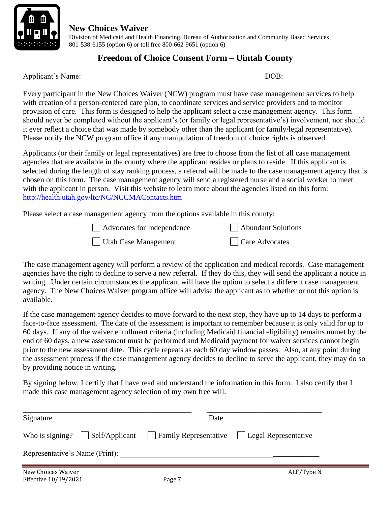

 Division of Medicaid and Health Financing, Bureau of Authorization and Community Based Services 801-538-6155 (option 6) or toll free 800-662-9651 (option 6)

#### **Freedom of Choice Consent Form – Uintah County**

Applicant's Name: \_\_\_\_\_\_\_\_\_\_\_\_\_\_\_\_\_\_\_\_\_\_\_\_\_\_\_\_\_\_\_\_\_\_\_\_\_\_\_\_\_\_\_\_\_\_ DOB: \_\_\_\_\_\_\_\_\_\_\_\_\_\_\_\_\_\_\_\_

Every participant in the New Choices Waiver (NCW) program must have case management services to help with creation of a person-centered care plan, to coordinate services and service providers and to monitor provision of care. This form is designed to help the applicant select a case management agency. This form should never be completed without the applicant's (or family or legal representative's) involvement, nor should it ever reflect a choice that was made by somebody other than the applicant (or family/legal representative). Please notify the NCW program office if any manipulation of freedom of choice rights is observed.

Applicants (or their family or legal representatives) are free to choose from the list of all case management agencies that are available in the county where the applicant resides or plans to reside. If this applicant is selected during the length of stay ranking process, a referral will be made to the case management agency that is chosen on this form. The case management agency will send a registered nurse and a social worker to meet with the applicant in person. Visit this website to learn more about the agencies listed on this form: <http://health.utah.gov/ltc/NC/NCCMAContacts.htm>

Please select a case management agency from the options available in this county:

| Advocates for Independence | Abundant Solutions |
|----------------------------|--------------------|
| Utah Case Management       | Care Advocates     |

The case management agency will perform a review of the application and medical records. Case management agencies have the right to decline to serve a new referral. If they do this, they will send the applicant a notice in writing. Under certain circumstances the applicant will have the option to select a different case management agency. The New Choices Waiver program office will advise the applicant as to whether or not this option is available.

If the case management agency decides to move forward to the next step, they have up to 14 days to perform a face-to-face assessment. The date of the assessment is important to remember because it is only valid for up to 60 days. If any of the waiver enrollment criteria (including Medicaid financial eligibility) remains unmet by the end of 60 days, a new assessment must be performed and Medicaid payment for waiver services cannot begin prior to the new assessment date. This cycle repeats as each 60 day window passes. Also, at any point during the assessment process if the case management agency decides to decline to serve the applicant, they may do so by providing notice in writing.

By signing below, I certify that I have read and understand the information in this form. I also certify that I made this case management agency selection of my own free will.

| Signature                      | Date                                                                                           |            |
|--------------------------------|------------------------------------------------------------------------------------------------|------------|
|                                | Who is signing? $\Box$ Self/Applicant $\Box$ Family Representative $\Box$ Legal Representative |            |
| Representative's Name (Print): |                                                                                                |            |
| New Choices Waiver             |                                                                                                | ALF/Type N |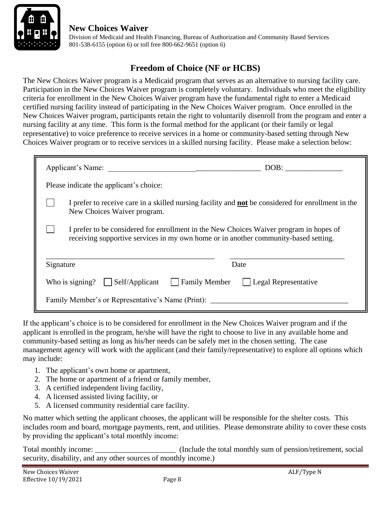

 Division of Medicaid and Health Financing, Bureau of Authorization and Community Based Services 801-538-6155 (option 6) or toll free 800-662-9651 (option 6)

# **Freedom of Choice (NF or HCBS)**

The New Choices Waiver program is a Medicaid program that serves as an alternative to nursing facility care. Participation in the New Choices Waiver program is completely voluntary. Individuals who meet the eligibility criteria for enrollment in the New Choices Waiver program have the fundamental right to enter a Medicaid certified nursing facility instead of participating in the New Choices Waiver program. Once enrolled in the New Choices Waiver program, participants retain the right to voluntarily disenroll from the program and enter a nursing facility at any time. This form is the formal method for the applicant (or their family or legal representative) to voice preference to receive services in a home or community-based setting through New Choices Waiver program or to receive services in a skilled nursing facility. Please make a selection below:

| Applicant's Name:                                                                                                                                                             | DOB:                        |  |  |
|-------------------------------------------------------------------------------------------------------------------------------------------------------------------------------|-----------------------------|--|--|
| Please indicate the applicant's choice:                                                                                                                                       |                             |  |  |
| I prefer to receive care in a skilled nursing facility and <b>not</b> be considered for enrollment in the<br>New Choices Waiver program.                                      |                             |  |  |
| I prefer to be considered for enrollment in the New Choices Waiver program in hopes of<br>receiving supportive services in my own home or in another community-based setting. |                             |  |  |
| Signature<br>Date                                                                                                                                                             |                             |  |  |
| Who is signing? $\vert$ Self/Applicant<br><b>Family Member</b>                                                                                                                | $\Box$ Legal Representative |  |  |
| Family Member's or Representative's Name (Print):                                                                                                                             |                             |  |  |

If the applicant's choice is to be considered for enrollment in the New Choices Waiver program and if the applicant is enrolled in the program, he/she will have the right to choose to live in any available home and community-based setting as long as his/her needs can be safely met in the chosen setting. The case management agency will work with the applicant (and their family/representative) to explore all options which may include:

- 1. The applicant's own home or apartment,
- 2. The home or apartment of a friend or family member,
- 3. A certified independent living facility,
- 4. A licensed assisted living facility, or
- 5. A licensed community residential care facility.

No matter which setting the applicant chooses, the applicant will be responsible for the shelter costs. This includes room and board, mortgage payments, rent, and utilities. Please demonstrate ability to cover these costs by providing the applicant's total monthly income:

Total monthly income: \_\_\_\_\_\_\_\_\_\_\_\_\_\_\_\_\_\_\_\_\_\_\_\_ (Include the total monthly sum of pension/retirement, social security, disability, and any other sources of monthly income.)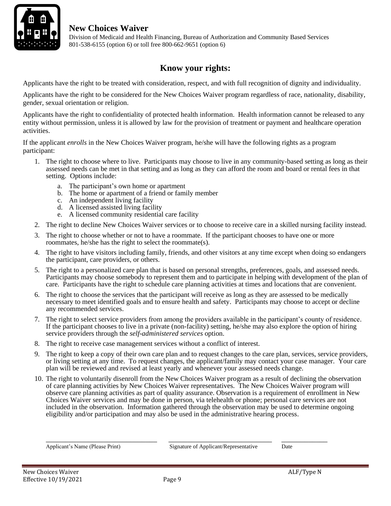

 Division of Medicaid and Health Financing, Bureau of Authorization and Community Based Services 801-538-6155 (option 6) or toll free 800-662-9651 (option 6)

# **Know your rights:**

Applicants have the right to be treated with consideration, respect, and with full recognition of dignity and individuality.

Applicants have the right to be considered for the New Choices Waiver program regardless of race, nationality, disability, gender, sexual orientation or religion.

Applicants have the right to confidentiality of protected health information. Health information cannot be released to any entity without permission, unless it is allowed by law for the provision of treatment or payment and healthcare operation activities.

If the applicant *enrolls* in the New Choices Waiver program, he/she will have the following rights as a program participant:

- 1. The right to choose where to live. Participants may choose to live in any community-based setting as long as their assessed needs can be met in that setting and as long as they can afford the room and board or rental fees in that setting. Options include:
	- a. The participant's own home or apartment
	- b. The home or apartment of a friend or family member
	- c. An independent living facility
	- d. A licensed assisted living facility
	- e. A licensed community residential care facility
- 2. The right to decline New Choices Waiver services or to choose to receive care in a skilled nursing facility instead.
- 3. The right to choose whether or not to have a roommate. If the participant chooses to have one or more roommates, he/she has the right to select the roommate(s).
- 4. The right to have visitors including family, friends, and other visitors at any time except when doing so endangers the participant, care providers, or others.
- 5. The right to a personalized care plan that is based on personal strengths, preferences, goals, and assessed needs. Participants may choose somebody to represent them and to participate in helping with development of the plan of care. Participants have the right to schedule care planning activities at times and locations that are convenient.
- 6. The right to choose the services that the participant will receive as long as they are assessed to be medically necessary to meet identified goals and to ensure health and safety. Participants may choose to accept or decline any recommended services.
- 7. The right to select service providers from among the providers available in the participant's county of residence. If the participant chooses to live in a private (non-facility) setting, he/she may also explore the option of hiring service providers through the *self-administered services* option.
- 8. The right to receive case management services without a conflict of interest.
- 9. The right to keep a copy of their own care plan and to request changes to the care plan, services, service providers, or living setting at any time. To request changes, the applicant/family may contact your case manager. Your care plan will be reviewed and revised at least yearly and whenever your assessed needs change.
- 10. The right to voluntarily disenroll from the New Choices Waiver program as a result of declining the observation of care planning activities by New Choices Waiver representatives. The New Choices Waiver program will observe care planning activities as part of quality assurance. Observation is a requirement of enrollment in New Choices Waiver services and may be done in person, via telehealth or phone; personal care services are not included in the observation. Information gathered through the observation may be used to determine ongoing eligibility and/or participation and may also be used in the administrative hearing process.

\_\_\_\_\_\_\_\_\_\_\_\_\_\_\_\_\_\_\_\_\_\_\_\_\_\_\_\_\_ \_\_\_\_\_\_\_\_\_\_\_\_\_\_\_\_\_\_\_\_\_\_\_\_\_\_\_ \_\_\_\_\_\_\_\_\_\_\_\_

Applicant's Name (Please Print) Signature of Applicant/Representative Date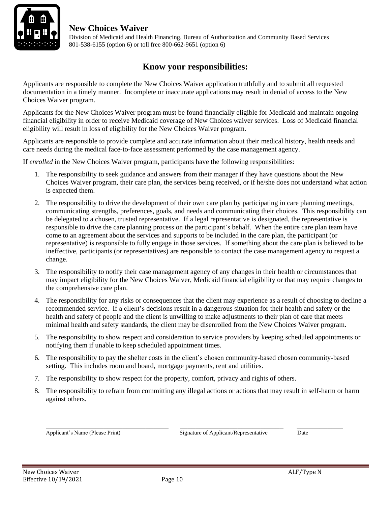

 Division of Medicaid and Health Financing, Bureau of Authorization and Community Based Services 801-538-6155 (option 6) or toll free 800-662-9651 (option 6)

#### **Know your responsibilities:**

Applicants are responsible to complete the New Choices Waiver application truthfully and to submit all requested documentation in a timely manner. Incomplete or inaccurate applications may result in denial of access to the New Choices Waiver program.

Applicants for the New Choices Waiver program must be found financially eligible for Medicaid and maintain ongoing financial eligibility in order to receive Medicaid coverage of New Choices waiver services. Loss of Medicaid financial eligibility will result in loss of eligibility for the New Choices Waiver program.

Applicants are responsible to provide complete and accurate information about their medical history, health needs and care needs during the medical face-to-face assessment performed by the case management agency.

If *enrolled* in the New Choices Waiver program, participants have the following responsibilities:

- 1. The responsibility to seek guidance and answers from their manager if they have questions about the New Choices Waiver program, their care plan, the services being received, or if he/she does not understand what action is expected them.
- 2. The responsibility to drive the development of their own care plan by participating in care planning meetings, communicating strengths, preferences, goals, and needs and communicating their choices. This responsibility can be delegated to a chosen, trusted representative. If a legal representative is designated, the representative is responsible to drive the care planning process on the participant's behalf. When the entire care plan team have come to an agreement about the services and supports to be included in the care plan, the participant (or representative) is responsible to fully engage in those services. If something about the care plan is believed to be ineffective, participants (or representatives) are responsible to contact the case management agency to request a change.
- 3. The responsibility to notify their case management agency of any changes in their health or circumstances that may impact eligibility for the New Choices Waiver, Medicaid financial eligibility or that may require changes to the comprehensive care plan.
- 4. The responsibility for any risks or consequences that the client may experience as a result of choosing to decline a recommended service. If a client's decisions result in a dangerous situation for their health and safety or the health and safety of people and the client is unwilling to make adjustments to their plan of care that meets minimal health and safety standards, the client may be disenrolled from the New Choices Waiver program.
- 5. The responsibility to show respect and consideration to service providers by keeping scheduled appointments or notifying them if unable to keep scheduled appointment times.
- 6. The responsibility to pay the shelter costs in the client's chosen community-based chosen community-based setting. This includes room and board, mortgage payments, rent and utilities.
- 7. The responsibility to show respect for the property, comfort, privacy and rights of others.
- 8. The responsibility to refrain from committing any illegal actions or actions that may result in self-harm or harm against others.

\_\_\_\_\_\_\_\_\_\_\_\_\_\_\_\_\_\_\_\_\_\_\_\_\_\_\_\_\_\_\_\_ \_\_\_\_\_\_\_\_\_\_\_\_\_\_\_\_\_\_\_\_\_\_\_\_\_\_\_ \_\_\_\_\_\_\_\_\_\_\_\_

Applicant's Name (Please Print) Signature of Applicant/Representative Date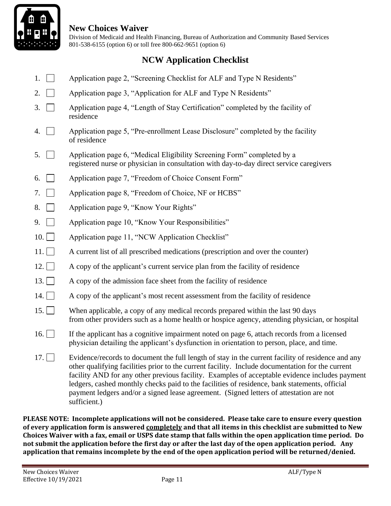

 Division of Medicaid and Health Financing, Bureau of Authorization and Community Based Services 801-538-6155 (option 6) or toll free 800-662-9651 (option 6)

### **NCW Application Checklist**

- 1. Application page 2, "Screening Checklist for ALF and Type N Residents"
- 2.  $\Box$  Application page 3, "Application for ALF and Type N Residents"
- 3. Application page 4, "Length of Stay Certification" completed by the facility of residence
- 4.  $\Box$  Application page 5, "Pre-enrollment Lease Disclosure" completed by the facility of residence
- 5. Application page 6, "Medical Eligibility Screening Form" completed by a registered nurse or physician in consultation with day-to-day direct service caregivers
- 6. Application page 7, "Freedom of Choice Consent Form"
- 7. **Application page 8, "Freedom of Choice, NF or HCBS"**
- 8. **Application page 9, "Know Your Rights"**
- 9. **Application page 10, "Know Your Responsibilities"**
- 10. Application page 11, "NCW Application Checklist"
- 11. A current list of all prescribed medications (prescription and over the counter)
- 12. A copy of the applicant's current service plan from the facility of residence
- 13.  $\Box$  A copy of the admission face sheet from the facility of residence
- 14.  $\Box$  A copy of the applicant's most recent assessment from the facility of residence
- 15. When applicable, a copy of any medical records prepared within the last 90 days from other providers such as a home health or hospice agency, attending physician, or hospital
- 16. If the applicant has a cognitive impairment noted on page 6, attach records from a licensed physician detailing the applicant's dysfunction in orientation to person, place, and time.
- 17.  $\Box$  Evidence/records to document the full length of stay in the current facility of residence and any other qualifying facilities prior to the current facility. Include documentation for the current facility AND for any other previous facility. Examples of acceptable evidence includes payment ledgers, cashed monthly checks paid to the facilities of residence, bank statements, official payment ledgers and/or a signed lease agreement. (Signed letters of attestation are not sufficient.)

**PLEASE NOTE: Incomplete applications will not be considered. Please take care to ensure every question of every application form is answered completely and that all items in this checklist are submitted to New Choices Waiver with a fax, email or USPS date stamp that falls within the open application time period. Do not submit the application before the first day or after the last day of the open application period. Any application that remains incomplete by the end of the open application period will be returned/denied.**